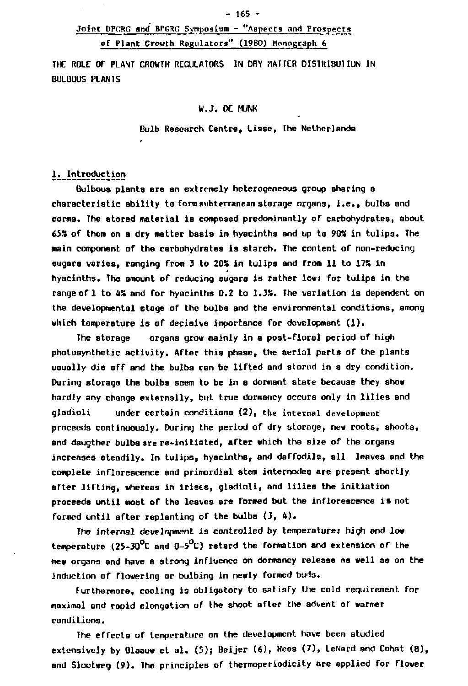# **Joint DPCRG and BI'CRC Symposium - "Aspects and Prospects of Plant Growth Regulators" (1980) Monograph 6**

**THE ROLE DT PLANT GROWTH REGULATORS IN DRY MATTER DISTRIBUTION IN DULBOUS PLANTS** 

#### **W.J. DE MUNK**

**Bulb Resenrch Centre, Lisse, The Netherlands** 

#### **1. Introduction**

**Bulbous plants are an extremely heterogeneous group sharing a characteristic ability to form subterranean storage organs, i.e., bulbs and corms. The stored material is composed predominantly of carbohydrates, about 65S of them on a dry matter basis in hyacinths and up to 90S in tulips. The main comportent of the carbohydrates is starch. The content of non-reducing sugars varies, ranging from 3 to 203 in tulips and from 11 to 17% in hyacinths. The amount of reducing sugars is rather low: for tulips in the range of 1 to 43 and for hyacinths 0.2 to 1.3%. The variation is dependent on the developmental stage of the bulbs and the environmental conditions, among which temperature is of decisive importance for development (1).** 

**The storage organs grow mainly in a post-floral period of high photosynthetic activity. After this phase, the aerial parts of the plants usually die off and the bulbs can be lifted and stored in a dry condition. During storage the bulbs seem to be in a dormant state because they show hardly any change externally, but true dormancy occurs only in lilies and gladioli under certain conditions (2), the internal development proceeds continuously. During the period of dry storage, new roots, shoots, and daugther bulbs are re-initiated, after which the size of the organs increases steadily. In tulips, hyacinths, and daffodils, all leaves and the complete inflorescence and primordial stem internodes are present shortly after lifting, whereas in irises, gladioli, and lilies the initiation proceeds until most of the leaves are formed but the inflorescence is not formed until after replanting of the bulbs (3, 4) .** 

**The internal development is controlled by temperature: high and low temperature (25-30°C and 0-5°C) retard the formation and extension of the new organs and have a strong influence on dormancy release ns well as on the induction of flowering or bulbing in newly formed buds.** 

**Furthermore, cooling is obligatory to satisfy the cold requirement for maximal and rapid elongation of the shoot aTter the advent of warmer conditions.** 

**The effects of temperature on the development have been studied**  extensively by Blaauw et al. (5); Beijer (6), Rees (7), LeNard and Cohat (8). **and Slootweg (9). The principles of thermoperiodicity are applied for flower**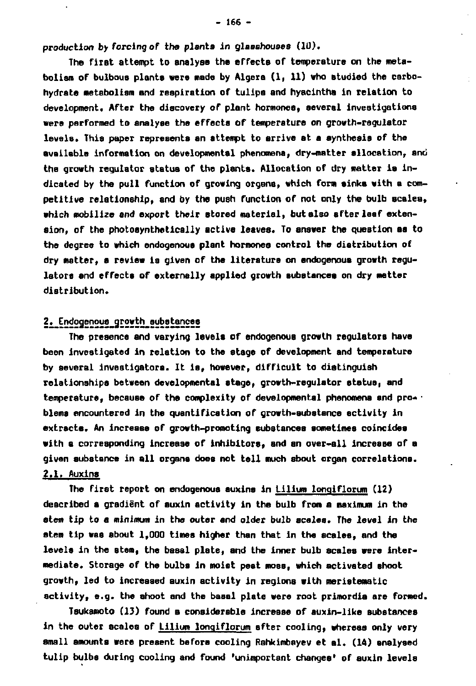**production by forcing of the plants in glasshouses (1U).** 

**The first attempt to analyse the effects of temperature on the metabolism of bulbous plants «ere made by Algers (1, 11) who studied the carbo**hydrate metabolism and respiration of tulips and hyacintha in relation to **development. After the discovery of plant hormones, several investigations were performed to analyse the effects of temperature on growth-regulator levels» This paper represents an attempt to arrive at a synthesis of the available information on developmental phenomena, dry-matter allocation, and the growth regulator status of the plants. Allocation of dry matter ia indicated by the pull function of growing organs, which form sinks with a competitive relationship, and by the push function of not only the bulb scales, which mobilize and export their stored material, but also after leaf extension, of the photosynthetically active leaves. To answer the question as to the degree to which endogenous plant hormones control the distribution of dry matter, a review is given of the literature on endogenous growth regulators and effects of externally applied growth substances on dry matter distribution.** 

### **2. Endogenous\_growth\_substance8**

**The presence and varying levels of endogenous growth regulators have been investigated in relation to the stage of development and temperature by several investigators. It is, however, difficult to distinguish relationships between developmental stage, growth-regulator status, and temperature, because of the complexity of developmental phenomena and pro- blems encountered in the quantification of growth-substance activity in extracts. An increase of growth-promoting substances sometimes coincides with a corresponding increase of inhibitors, and sn over-all increase of a given substance in all organs does not tell much about organ correlations. 2.1. Auxins** 

The first report on endogenous auxins in *Lilium longiflorum* (12) **described s gradient of auxin activity in the bulb from a maximum in the stem tip to s minimum in the outer and older bulb scales. The level in the stem tip was about 1,000 times higher than that in the scales, and the levels in the stem, the basal plate, and the inner bulb scales were intermediate. Storage of the bulbs in moist pest moss, which activated shoot growth, led to increased auxin activity in regions with meristematic activity, e.g. the shoot and the basal plate were root primordia are formed.** 

**Tsukamoto (13) found a considerable increase of auxin-like substances in the outer scales of Lllium lonqiflorum sfter cooling, whereas only very small amounts were present before cooling Rahkimbayev et al. (14) analysed tulip bulbs during cooling and found 'unimportant changea' of auxin levels**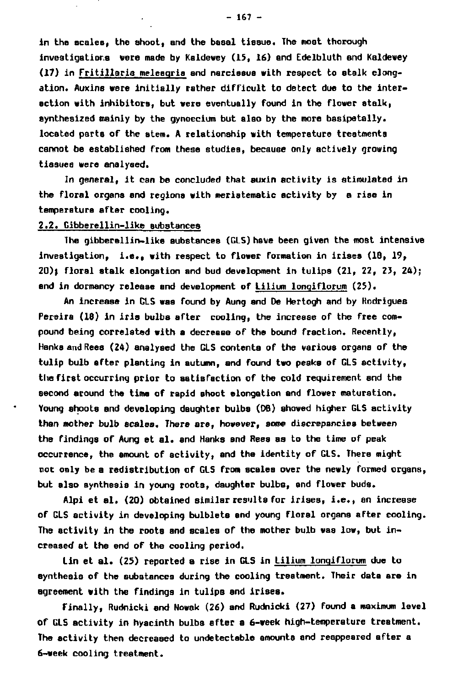**in the scales, the shoot, and the basal tissue. The most thorough investigations were made by Kaldewey (15, 16) and Edelbluth and Kaldewey (17) in Fritillaria meleaqrla and narcissus with respect to stalk elongation. Auxins were initially rather difficult to detect due to the interaction with inhibitors, but were eventually found in the flower stalk, synthesized mainly by the gynoecium but also by the more basipetally, located parts of the stem. A relationship with temperature treatments cannot be established from these studies, because only actively growing tissues were analysed.** 

**In general, it can be concluded that auxin activity is stimulated in the floral organs and regions with meristematic activity by a rise in temperature after cooling.** 

#### **2.2. Cibberellin-like substances**

**The gibberellin-like substances (GLS) have been given the most intensive investigation, i.e., with respect to flower formation in irises (18, 19, 20)J floral stalk elongation and bud development in tulips (21, 22, 23, 24); and in dormancy release and development of Lilium lonqiflorum (25).** 

**An increase in GLS waa found by Aung and De Hertogh and by Kodrigues Pereira (18) in iris bulbs after cooling, the increase of the free compound being correlated with a decrease of the bound fraction. Recently, Hanka and Rees (24) analysed the GLS contents of the various organs of the tulip bulb after planting in autumn, and found two peaks of GLS activity, the first occurring prior to satisfaction of the cold requirement and the second around the time of rapid shoot elongation and flower maturation. Young shoots and developing daughter bulbs (DB) showed higher GLS activity than mother bulb scales. There are, however, some discrepancies between the findings of Aung et al. and Hanks and Rees aa to the time of peak occurrence, the amount of activity, and the identity of GLS. There might not only be a redistribution of GLS from scales over the newly formed organs, but also synthesis in young roots, daughter bulbs, and flower buds.** 

**Alpi et al. (20) obtained similar results for irises, i.e., an increase of GLS activity in developing bulbleta and young floral organs after cooling. The activity in the roots and scales of the mother bulb was low, but in**creased at the end of the cooling period.

**Lin et al. (25) reported a rise in GLS in Lilium lonqiflorum due to synthesis of the subatancea during the cooling treatment. Their data are in agreement with the findings in tulips and irises.** 

**Finally, Rudnicki and Nowak (26) and Rudnicki (27) found a maximum level of GLS activity in hyacinth bulba after a 6-week high-temperature treatment. The activity then decreased to undetectable amounts and reappeared after a 6-week cooling treatment.**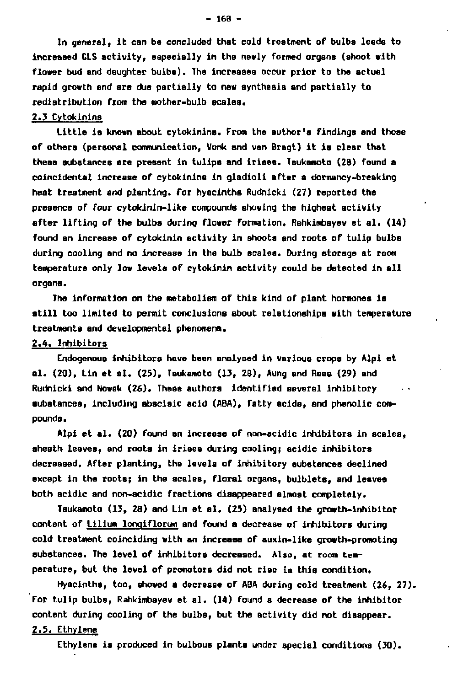**In general, it can be concluded that cold treatment of bulbs leads to increased GLS activity, especially in the newly formed organs (shoot with flower bud and daughter bulbs). The increases occur prior to the actual rapid growth and are due partially to new synthesis and partially to redistribution from the mother-bulb scales.** 

#### **2.3 Cytokinins**

**Little is known about cytokinins. From the author's findings and those of others (personal communication, Vonk and van Bragt) it is clear that these substances are present in tulips and irises. Tsukamoto (28) found a coincidental increase of cytokinins in gladioli after a dormancy-breaking heat treatment and planting. Tor hyacinths Rudnicki (27) reported the presence of four cytokinin-like compounds showing the highest activity after lifting of the bulbs during flower formation. Rahkimbayev et al. (14) found an increase of cytokinin activity in shoots and roots of tulip bulbs during cooling and no increase in the bulb ecsles. During storage at room temperature only low levels of cytokinin activity could be detected in all organs.** 

**The information on the metabolism of this kind of plant hormones is still too limited to permit conclusions about relationships with tempersture treatments and developmental phenomena.** 

#### **2.4. Inhibitors**

**Endogenous inhibitors have been analysed in various crops by Alpi et al. (20), Lin et al. (25), Tsukamoto (13, 28), Aung and Rees (29) and**  Rudnicki and Nowak (26). These authors identified several inhibitory **substances, including sbscisic acid (ABA), fatty acida, and phenolic compounds.** 

**Alpi et al. (20) found an increase of non-acidic inhibitors in scales, sheath leaves, and roots in irises during cooling} acidic inhibitors decreased. After planting, the levels of inhibitory substances declined except in the roots; in the scales, floral organs, bulblets, and leaves both acidic and non-acidic fractions disappeared almost completely.** 

**Tsukamoto (13, 28) and Lin et el. (25) analysed the growth-inhibitor content of Lllium lonqiflorum and found a decrease of inhibitors during cold treatment coinciding with an increase of auxin-like growth-promoting substances. The level of inhibitors decreased. Also, at room temperature, but the level of promotors did not rise in this condition.** 

**Hyacinths, too, showed a decrease of ABA during cold treatment (26, 27). for tulip bulbs, Rahkimbayev et al. (14) found a decrease of the inhibitor content during cooling of the bulbs, but the activity did not disappear.** 

# **2.5. Ethylene**

**Ethylene is produced in bulbous plants under special conditions (30).** 

**- 168 -**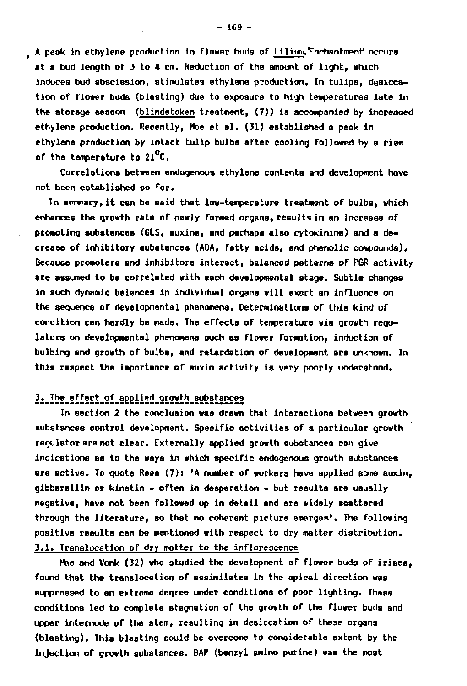**A peak in ethylene production in flower buds of Liliuni,Enchantment? occure at a bud length of 3 to 4 cm. Reduction of the amount of light, which induces bud abscission, stimulates ethylene production. In tulips, desiccation of flower buds (blasting) due to exposure to high temperatures late in the storage season (bllndstoken treatment, (7)) is accompanied by increased ethylene production. Recently, Moe et al. (31) established a peak in ethylene production by intact tulip bulbs after cooling followed by a rise of the temperature to 21 C.** 

**Correlations between endogenous ethylene contents and development have not been established eo far.** 

**In summary, it can be said that low-temperature treatment of bulbs, which enhances the growth rate of newly formed organs, results in an increase of promoting substances (GLS, auxins, and perhaps also cytokinins) and a decrease of inhibitory substances (ABA, fatty acids, and phenolic compounds). Because promoters and inhibitors interact, balanced patterns of PGR activity are assumed to be correlated with each developmental stage. Subtle changes in such dynamic balances in individual organa will exert an influence on the sequence of developmental phenomena. Determinations of this kind of condition can hardly be made. The effects of temperature via growth regulators on developmental phenomena such as flower formation, induction of bulbing and growth of bulbs, and retardation of development are unknown. In this respect the importance of auxin activity is very poorly understood.** 

## **3.\_The effect of applied growth substances**

**In section 2 the conclusion was drawn that interactions between growth substances control development. Specific activities of a particular growth regulator are not clear. Externally applied growth substances can give indications as to the ways in which specific endogenous growth substances are active. To quote Rees (7): 'A number of workers have applied some auxin, gibberellin or kinetin - often in desperation - but results are usually negative, have not been followed up in detail and are widely scattered through the literature, so that no coherant picture emerges'. The following positive results can be mentioned with respect to dry matter distribution. 3.1. Translocation of dry matter to the inflorescence** 

**Mae and Vonk (32) who studied the development of flower buds of irises, found that the translocation of assimilates in the apical direction was suppressed to an extreme degree under conditions of poor lighting. These conditions led to complete stagnation of the growth of the flower buds and upper internode of the stem, resulting in desiccation of these organs (blasting). This blssting could be overcome to considerable extent by the injection of growth substances. BAP (benzyl amino purine) was the most**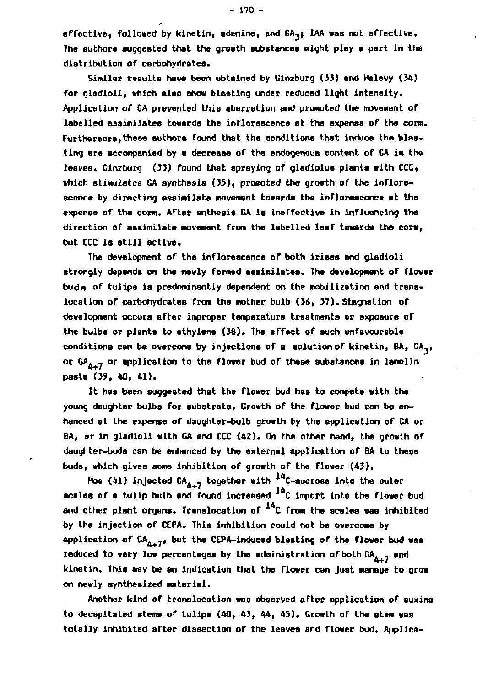**effective, followed by kinetin, adenine, and GA,; IAA was not effective. The authors suggested that the growth substances might play a part in the distribution of carbohydrates.** 

**Similar results have been obtained by Ginzburg (33) and Halevy (34) for gladioli, which alao show blasting under reduced light intensity. Application of CA prevented this aberration and promoted the movement of labelled assimilates towards the inflorescence at the expense of the corm. Furthermore,these authors found that the conditions that induce the blasting are accompanied by a decrease of the endogenous content of GA in the leaves. Ginzburg (33) found that spraying of gladiolus plants with CCC, which stimulates GA synthesis (35), promoted the growth of the inflorescence by directing assimilate movement towards the inflorescence at the expense of the corm. After anthesia GA is ineffective in influencing the direction of assimilate movement from the labelled leaf towards the corm, but CCC is still sctive.** 

**The development of the inflorescence of both irises and gladioli strongly depends on the newly formed assimilates. The development of flower bud a of tulips is predominantly dependent on the mobilization and translocation of carbohydrates from the mother bulb (36, 37). Stagnation of development occurs after improper temperature treatments oc expoaure of the bulbs or plante to ethylene (38). The effect of such unfavourable conditions can be overcome by injections of a solution of kinetin, BA, GA,, or GA. 7 or application to the flower bud of these substances in lanolin paate (39, 40, 41).** 

**It has been suggested that the flower bud has to compete with the young daughter bulbs for substrate. Growth of the flower bud can be enhanced at the expense of daughter-bulb growth by the application of GA or BA, or in gladioli with GA and CCC (42). On the other hand, the growth of daughter-buds can be enhanced by the external application of BA to these buds, which gives some inhibition of growth of the flower (43).** 

**Hoe (41) injected**  $GA_{4+7}$  **together with**  $^{14}$ **C-sucrose into the outer acales of a tulip bulb and found increased <sup>14</sup>C import into the flower bud** and other plant organs. Translocation of <sup>14</sup>C from the scales wa **by the injection of CEPA. This inhibition could not be overcome by**  application of  $GA_{A+7}$ , but the CEPA-induced blasting of the flower bud was reduced to very low percentages by the administration of both CA<sub>4-7</sub> and **kinetin. This may be an indication that the flower can just manage to grow on newly synthesized materiel.** 

**Another kind of translocation was observed after application of auxina to decapitated stems of tulips (40, 43, 44, 45). Growth of the stem was totally inhibited after dissection of the leaves and flower bud. Applies-**

**- 170 -**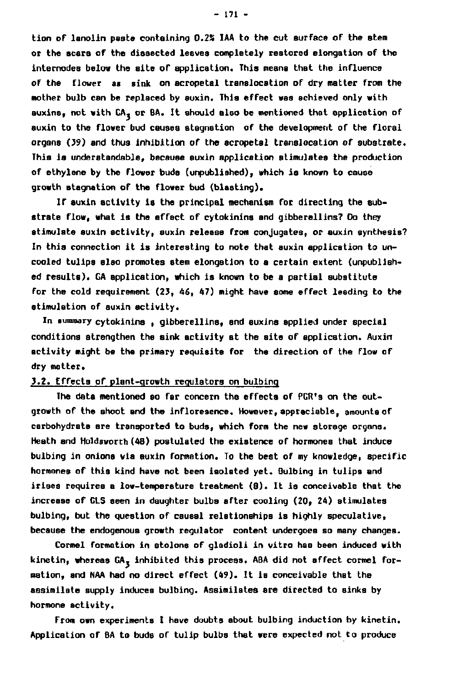**tion of lanolin paste containing 0.2S IAA to the cut surface of the stem or the scars of the dissected leaves completely restored elongation of the internodes below the site of application. This means that the influence of the flower as sink on acropetal translocation of dry matter from the mother bulb can be replaced by auxin. Thia effect was achieved only with auxins, not with GA, or 6A. It should also be mentioned that application of auxin to the flower bud causes stagnation of the development of the floral organs (39) and thus inhibition of the acropetal translocation of substrate. This is understandable, because auxin application stimulates the production of ethylene by the flower buds (unpublished), which is known to cause growth stagnation of the flower bud (blasting).** 

**If auxin activity is the principal mechanism for directing the substrate flow, what is the effect of cytokinins and gibberellins? Do they stimulate auxin activity, auxin release from conjugates, or auxin synthesis? In this connection it is interesting to note that auxin application to uncooled tulips also promotes stem elongation to a certain extent (unpublished reaults). GA application, which is known to be a partial substitute for the cold requirement (23, 46, 47) might have some effect leading to the stimulation of auxin activity.** 

**In summary cytokinins , gibberellins, snd auxins applied under special conditions strengthen the sink activity at the site of application. Auxin activity might be the primary requisite for the direction of the flow of dry matter.** 

#### **3.2. Effects of plant-growth regulators on bulbing**

**The data mentioned so far concern the effects of PGR's on the outgrowth of the ahoot and the inflore3ence. However, appreciable, amounts of carbohydrate are transported to buds, which form the new storage organs. Heath and Holdsworth (48) postulated the existence of hormones that induce bulbing in onions via auxin formation. To the best of my knowledge, specific hormones of this kind have not been isolated yet. Bulbing in tulips and irises requires a low-temperature treatment (8). It is conceivable that the increase of CLS seen in daughter bulba after cooling (20, 24) stimulates bulbing, but the question of causal relationships is highly speculative, because the endogenous growth regulator content undergoes so many changes.** 

**Cormel formation in stolons of gladioli in vitro has been induced with**  kinetin, whereas GA<sub>3</sub> inhibited this process. ABA did not affect cormel for**mation, and NAA had no direct effect (49). It is conceivable thst the assimilate supply induces bulbing. Assimilates are directed to sinks by hormone activity.** 

**from own experiments I have doubts about bulbing induction by kinetin. Application of BA to buds of tulip bulbs that were expected not to produce**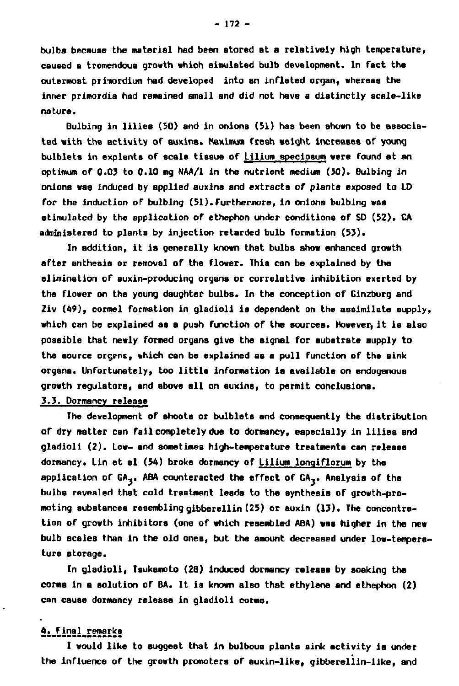**bulbs because the material had been stored at a relatively high temperature, caused a tremendous growth which simulated bulb development. In fact the outermost priiiordium had developed into an inflated organ, whereas the inner primordia had remained small and did not have a distinctly scale-like nature.** 

**Bulbing in lilies (50) and in onions (51) has been shown to be associated with the activity of auxins. Maximum fresh weight increases of young bulblets in expiants of scale tissue of Lilium speciosum were found at an optimum of 0.03 to 0.10 mg NAA/1 in the nutrient medium (50). Bulbing in onions was induced by applied auxins and extracts of plants exposed to LD for the induction of bulbing (51). Furthermore, in onions bulbing was stimulated by the application of ethephon under conditions of SD (52). GA adninistered to plants by injection retarded bulb formation (53).** 

**In addition, it is generally known that bulbs show enhanced growth after anthesis or removal of the flower. This can be explained by the elimination of auxin-producing organs or correlative inhibition exerted by the flower on the young daughter bulbs. In the conception of Ginzburg and Ziv (49), cormel formation in gladioli is dependent on the assimilate supply, which can be explained as a push function of the sources. However, it is also possible that newly formed organs give the signal for substrate supply to the source orcent, which can be explained as a pull function of the sink organs. Unfortunately, too little information is available on endogenous growth regulators, and above all on auxins, to permit conclusions. 3.3. Dormancy release** 

**The development of shoots or bulblets and consequently the distribution of dry matter can fail completely due to dormancy, especially in lilies and gladioli (2). Low- and sometimes high-temperature treatments can release dormancy. Lin et al (54) broke dormancy of Lilium lonqiflorum by the application of GA,. ABA counteracted the effect of GA,. Analysis of the bulbs revealed that cold treatment leads to the synthesis of growth-promoting substances resembling gibberellin (25) or auxin (13). The concentration of growth inhibitors (one of which resembled ABA) was higher in the new bulb scales than in the old ones, but the amount decreased under low-temperature storage.** 

**In gladioli, Tsuksmoto (28) induced dormancy release by soaking the corms in a solution of BA. It is known also that ethylene and ethephon (2) can cause dormancy release in gladioli corms.** 

### **4.\_Final\_rema rk s**

**I would like to suggest that in bulbous plants sink activity is under the influence of the growth promoters of auxin-like, gibberellin-like, and** 

**- 172 -**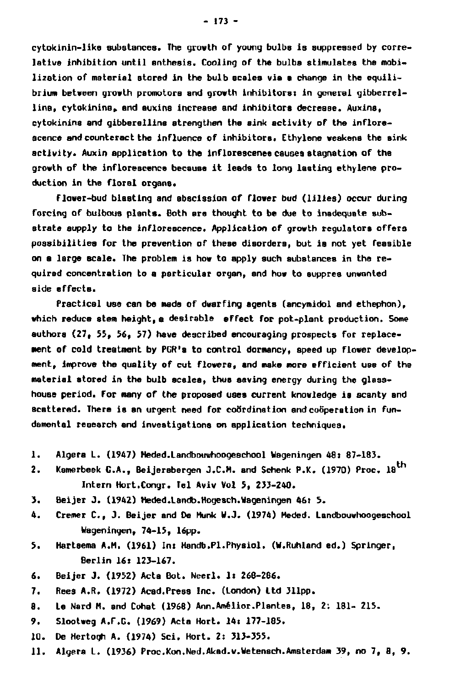**cytokinin-like substances. The growth of young bulbs is suppressed by correlative inhibition until anthesis. Cooling of the bulbs stimulates the mobilization of material stored in the bulb scales via a change in the equili**brium between growth promotors and growth inhibitors: in general gibberrel**lins, cytokinina, and auxins increase and inhibitors decrease. Auxins, cytokinins and gibberellins strengthen the sink activity of the inflorescence and counteract the influence of inhibitors. Ethylene weakens the sink activity. Auxin application to the inflorescence causes stagnation of the growth of the infloreacence because it leads to long lasting ethylene production in the floral organs.** 

**Flower-bud blasting and abscission of flower bud (lilies) occur during forcing of bulbous plants. Both are thought to be due to inadequate substrate supply to the inflorescence. Application of growth regulators offers possibilities for the prevention of these disorders, but is not yet feasible on a large scale. The problem is how to apply such substances in the required concentration to a particular organ, and how to suppres unwanted side effects.** 

**Practical use can be made of dwarfing agents (ancymidol and ethephon), which reduce stem height,a desirable effect for pot-plant production. Some authors (27, 55, 56, 57) have described encouraging prospects for replacement of cold treatment by PGR's to control dormancy, speed up flower development, improve the quality of cut flowers, and make more efficient use of the material stored in the bulb scales, thus saving energy during the glasshouse period. For many of the proposed usea current knowledge is scanty and**  scattered. There is an urgent need for coördination and coöperation in fun**damental research and investigations on applicstion techniques.** 

- **1. Algers L. (1947) Meded.Landbouwhoogeschool Wageningen 48: 87-183.**
- **2. Kamerbeek CA., Beijersbergen J.C.H, and Schenk P.K. (1970) Proc. 18 Intern Hort.Congr. Tel Aviv Vol 5, 233-240.**
- **3. Beijer J. (1942) Heded.Landb.Hogesch.Wageningen 46: 5.**
- **4. Cremer C , J. Beijer and De Hunk W.J. (1974) Heded. Landbouwhoogeschool Wageningen, 74-15, 16pp.**
- **5. Hartsema A.H. (1961) In: Handb.PI.Physiol. (W.Ruhland ed.) Springer, Berlin 16: 123-167.**
- **6. Beijer J. (1952) Acta Bot. Neerl. 1: 268-286.**
- **7. Rees A.R. (1972) Acad.Press Inc. (London) Ltd 311pp.**
- **8. Le Nerd H. and Cohat (1968) Ann.Amélior.Plantes, 18, 2: 181- 215.**
- **9. Slootweg A.F.G. (1969) Acta Hort. 14: 177-185.**
- **10. De Hertogh A. (1974) Sei. Hort. 2: 313-355.**
- **11. Algera L. (1936) Proc.Kon.Ned.Akad.v.Wetensch.Amsterdam 39, no 7, 8, 9.**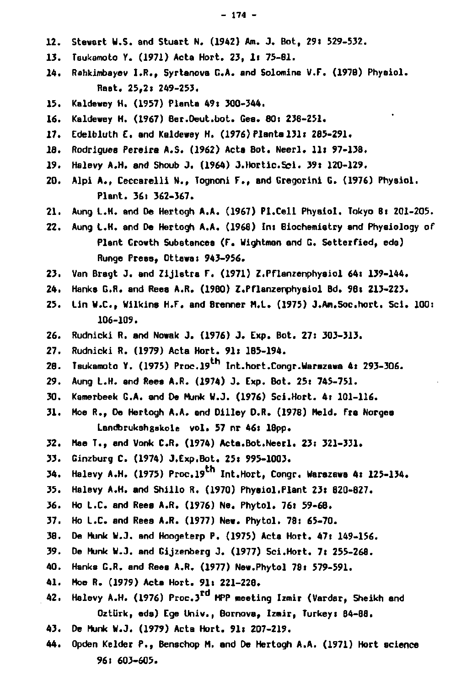- **12. Stewart U.S. and Stuart N. (1942) Am. J. Bot, 29« 529-532.**
- **13. Tsukamoto Y. (1971) Acta Hort. 23, If 75-81.**
- **14. Rahkimbayev I.R., Syrtanova G.A. and Solomina V.F. (197B) Physiol. Raat. 25,2« 249-253.**
- **15. Kaldewey H. (1957) Planta 49: 300-344.**
- **16. Kaldewey H. (1967) Ber.Deut.bot. Ges. 80: 238-251.**
- **17. Edelbluth E. and Kaldewey H. (1976) Planta 131« 285-291.**
- 18. Rodrigues Pereira A.S. (1962) Acta Bot. Neerl. 11: 97-138.
- **19. Halevy A.H. and Shoub J. (1964) J.Hortic.Sci. 39» 120-129.**
- **20. Alpi A., Ceccarelli N., Tognoni F., and Gregorini G. (1976) Physiol. Plant. 36» 362-367.**
- **21. Aung L.H. and De Hertogh A.A. (1967) PI.Cell Physiol. Tokyo 8: 201-205.**
- **22. Aung L.H. and De Hertogh A.A. (1968) In» Biochemistry and Phyaiology of Plant Growth Substances (F. Wightman and G. Setterfied, eda)**  Runge Press, Ottawa: 943-956.
- **23. Van Bregt J. and Zijlstra F. (1971) Z.Pflanzenphysiol 64» 139-144.**
- **24. Hanks G.R. and Rees A.R. (1980) Z.Pflanzenphysiol Bd. 98» 213-223.**
- **25. Lin W.C., Wilkins H.F. and Brenner M.L. (1975) J.Am.Soc.hort. Sei. 100: 106-109.**
- **26. Rudnicki R. and Nowak J. (1976) J. Exp. Bot. 27» 303-313.**
- **27. Rudnicki R. (1979) Acta Hort. 91» 185-194.**
- **28. Tsukamoto Y. (1975) Proc.l9th Int.hort.Congr.Uarszawa 4» 293-306.**
- **29. Aung L.H. and Rees A.R. (1974) J. Exp. Bot. 25» 745-751.**
- **30. Kamerbeek G.A. and De Munk W.J. (1976) Sei.Hort. 4» 101-116.**
- **31. Moe R., De Hertogh A.A. and Dilley D.R. (1978) Meld. Tra Norges Landbrukshgskole vol. 57 nr 46» 18pp.**
- **32. Mae T., and Vonk CR . (1974) Acta.Bot.Neerl. 23» 321-331.**
- **33. Ginzburg C. (1974) J.Exp.Bot. 25» 995-1003.**
- **34. Halevy A.H. (1975) Proc.l9th Int.Hort, Congr. Warszawa 4« 125-134.**
- **35. Halevy A.H. and Shillo R. (1970) Physiol.Plant 23» 820-827.**
- **36. Ho L.C. and Reea A.R. (1976) Ne. Phytol. 76» 59-68.**
- **37. Ho L.C. and Rees A.R. (1977) New. Phytol. 78» 65-70.**
- **38. De Munk W.J. and Hoogeterp P. (1975) Acta Hort. 47» 149-156.**
- **39. De Munk W.J. and Gijzenberg J. (1977) Sei.Hort. 7» 255-268.**
- **40. Hanks G.R. and Rees A.R. (1977) New.Phytol 78» 579-591.**
- **41. Moe R. (1979) Acts Hort. 91» 221-228.**
- **42. Halevy A.H. (1976) Proc.3rd MPP meeting Izmir (Vardar, Sheikh and OztUrk, eda) Ege Univ., Bornova, Izmir, Turkey» 84-88.**
- **43. De Munk W.J. (1979) Acta Hort. 91» 207-219.**
- **44. Opden Kelder P., Benschop M. and De Hertogh A.A. (1971) Hort science 96» 603-605.**